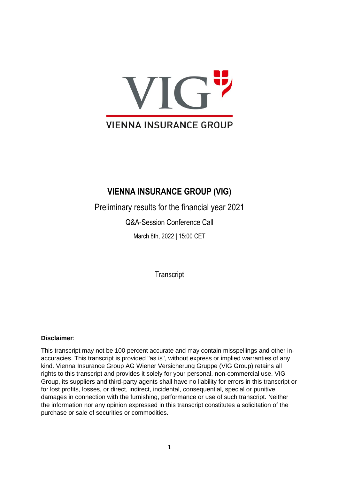

## **VIENNA INSURANCE GROUP (VIG)**

Preliminary results for the financial year 2021

Q&A-Session Conference Call

March 8th, 2022 | 15:00 CET

**Transcript** 

## **Disclaimer**:

This transcript may not be 100 percent accurate and may contain misspellings and other inaccuracies. This transcript is provided "as is", without express or implied warranties of any kind. Vienna Insurance Group AG Wiener Versicherung Gruppe (VIG Group) retains all rights to this transcript and provides it solely for your personal, non-commercial use. VIG Group, its suppliers and third-party agents shall have no liability for errors in this transcript or for lost profits, losses, or direct, indirect, incidental, consequential, special or punitive damages in connection with the furnishing, performance or use of such transcript. Neither the information nor any opinion expressed in this transcript constitutes a solicitation of the purchase or sale of securities or commodities.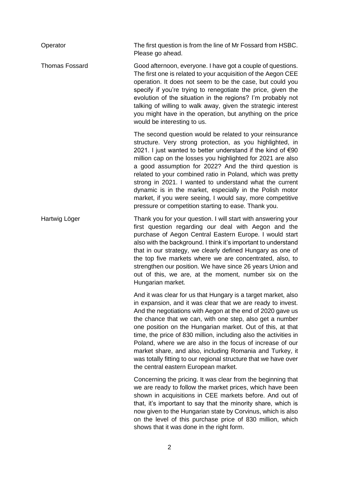| Operator              | The first question is from the line of Mr Fossard from HSBC.<br>Please go ahead.                                                                                                                                                                                                                                                                                                                                                                                                                                                                                                                                             |
|-----------------------|------------------------------------------------------------------------------------------------------------------------------------------------------------------------------------------------------------------------------------------------------------------------------------------------------------------------------------------------------------------------------------------------------------------------------------------------------------------------------------------------------------------------------------------------------------------------------------------------------------------------------|
| <b>Thomas Fossard</b> | Good afternoon, everyone. I have got a couple of questions.<br>The first one is related to your acquisition of the Aegon CEE<br>operation. It does not seem to be the case, but could you<br>specify if you're trying to renegotiate the price, given the<br>evolution of the situation in the regions? I'm probably not<br>talking of willing to walk away, given the strategic interest<br>you might have in the operation, but anything on the price<br>would be interesting to us.                                                                                                                                       |
|                       | The second question would be related to your reinsurance<br>structure. Very strong protection, as you highlighted, in<br>2021. I just wanted to better understand if the kind of €90<br>million cap on the losses you highlighted for 2021 are also<br>a good assumption for 2022? And the third question is<br>related to your combined ratio in Poland, which was pretty<br>strong in 2021. I wanted to understand what the current<br>dynamic is in the market, especially in the Polish motor<br>market, if you were seeing, I would say, more competitive<br>pressure or competition starting to ease. Thank you.       |
| Hartwig Löger         | Thank you for your question. I will start with answering your<br>first question regarding our deal with Aegon and the<br>purchase of Aegon Central Eastern Europe. I would start<br>also with the background. I think it's important to understand<br>that in our strategy, we clearly defined Hungary as one of<br>the top five markets where we are concentrated, also, to<br>strengthen our position. We have since 26 years Union and<br>out of this, we are, at the moment, number six on the<br>Hungarian market.                                                                                                      |
|                       | And it was clear for us that Hungary is a target market, also<br>in expansion, and it was clear that we are ready to invest.<br>And the negotiations with Aegon at the end of 2020 gave us<br>the chance that we can, with one step, also get a number<br>one position on the Hungarian market. Out of this, at that<br>time, the price of 830 million, including also the activities in<br>Poland, where we are also in the focus of increase of our<br>market share, and also, including Romania and Turkey, it<br>was totally fitting to our regional structure that we have over<br>the central eastern European market. |
|                       | Concerning the pricing. It was clear from the beginning that<br>we are ready to follow the market prices, which have been<br>shown in acquisitions in CEE markets before. And out of<br>that, it's important to say that the minority share, which is<br>now given to the Hungarian state by Corvinus, which is also<br>on the level of this purchase price of 830 million, which<br>shows that it was done in the right form.                                                                                                                                                                                               |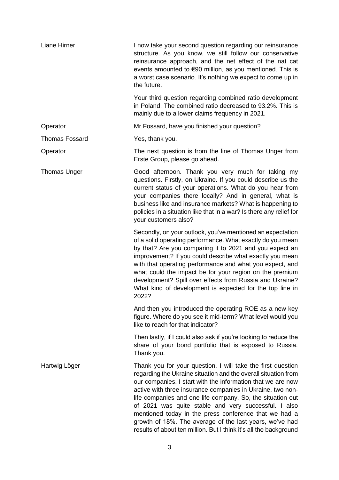| Liane Hirner          | I now take your second question regarding our reinsurance<br>structure. As you know, we still follow our conservative<br>reinsurance approach, and the net effect of the nat cat<br>events amounted to €90 million, as you mentioned. This is<br>a worst case scenario. It's nothing we expect to come up in<br>the future.                                                                                                                                                                                                                                               |
|-----------------------|---------------------------------------------------------------------------------------------------------------------------------------------------------------------------------------------------------------------------------------------------------------------------------------------------------------------------------------------------------------------------------------------------------------------------------------------------------------------------------------------------------------------------------------------------------------------------|
|                       | Your third question regarding combined ratio development<br>in Poland. The combined ratio decreased to 93.2%. This is<br>mainly due to a lower claims frequency in 2021.                                                                                                                                                                                                                                                                                                                                                                                                  |
| Operator              | Mr Fossard, have you finished your question?                                                                                                                                                                                                                                                                                                                                                                                                                                                                                                                              |
| <b>Thomas Fossard</b> | Yes, thank you.                                                                                                                                                                                                                                                                                                                                                                                                                                                                                                                                                           |
| Operator              | The next question is from the line of Thomas Unger from<br>Erste Group, please go ahead.                                                                                                                                                                                                                                                                                                                                                                                                                                                                                  |
| <b>Thomas Unger</b>   | Good afternoon. Thank you very much for taking my<br>questions. Firstly, on Ukraine. If you could describe us the<br>current status of your operations. What do you hear from<br>your companies there locally? And in general, what is<br>business like and insurance markets? What is happening to<br>policies in a situation like that in a war? Is there any relief for<br>your customers also?                                                                                                                                                                        |
|                       | Secondly, on your outlook, you've mentioned an expectation<br>of a solid operating performance. What exactly do you mean<br>by that? Are you comparing it to 2021 and you expect an<br>improvement? If you could describe what exactly you mean<br>with that operating performance and what you expect, and<br>what could the impact be for your region on the premium<br>development? Spill over effects from Russia and Ukraine?<br>What kind of development is expected for the top line in<br>2022?                                                                   |
|                       | And then you introduced the operating ROE as a new key<br>figure. Where do you see it mid-term? What level would you<br>like to reach for that indicator?                                                                                                                                                                                                                                                                                                                                                                                                                 |
|                       | Then lastly, if I could also ask if you're looking to reduce the<br>share of your bond portfolio that is exposed to Russia.<br>Thank you.                                                                                                                                                                                                                                                                                                                                                                                                                                 |
| Hartwig Löger         | Thank you for your question. I will take the first question<br>regarding the Ukraine situation and the overall situation from<br>our companies. I start with the information that we are now<br>active with three insurance companies in Ukraine, two non-<br>life companies and one life company. So, the situation out<br>of 2021 was quite stable and very successful. I also<br>mentioned today in the press conference that we had a<br>growth of 18%. The average of the last years, we've had<br>results of about ten million. But I think it's all the background |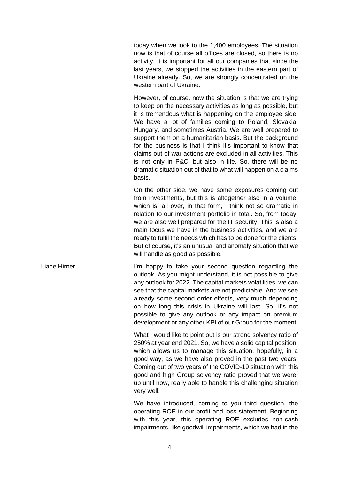today when we look to the 1,400 employees. The situation now is that of course all offices are closed, so there is no activity. It is important for all our companies that since the last years, we stopped the activities in the eastern part of Ukraine already. So, we are strongly concentrated on the western part of Ukraine.

However, of course, now the situation is that we are trying to keep on the necessary activities as long as possible, but it is tremendous what is happening on the employee side. We have a lot of families coming to Poland, Slovakia, Hungary, and sometimes Austria. We are well prepared to support them on a humanitarian basis. But the background for the business is that I think it's important to know that claims out of war actions are excluded in all activities. This is not only in P&C, but also in life. So, there will be no dramatic situation out of that to what will happen on a claims basis.

On the other side, we have some exposures coming out from investments, but this is altogether also in a volume, which is, all over, in that form, I think not so dramatic in relation to our investment portfolio in total. So, from today, we are also well prepared for the IT security. This is also a main focus we have in the business activities, and we are ready to fulfil the needs which has to be done for the clients. But of course, it's an unusual and anomaly situation that we will handle as good as possible.

Liane Hirner **I'm happy to take your second question regarding the** outlook. As you might understand, it is not possible to give any outlook for 2022. The capital markets volatilities, we can see that the capital markets are not predictable. And we see already some second order effects, very much depending on how long this crisis in Ukraine will last. So, it's not possible to give any outlook or any impact on premium development or any other KPI of our Group for the moment.

> What I would like to point out is our strong solvency ratio of 250% at year end 2021. So, we have a solid capital position, which allows us to manage this situation, hopefully, in a good way, as we have also proved in the past two years. Coming out of two years of the COVID-19 situation with this good and high Group solvency ratio proved that we were, up until now, really able to handle this challenging situation very well.

> We have introduced, coming to you third question, the operating ROE in our profit and loss statement. Beginning with this year, this operating ROE excludes non-cash impairments, like goodwill impairments, which we had in the